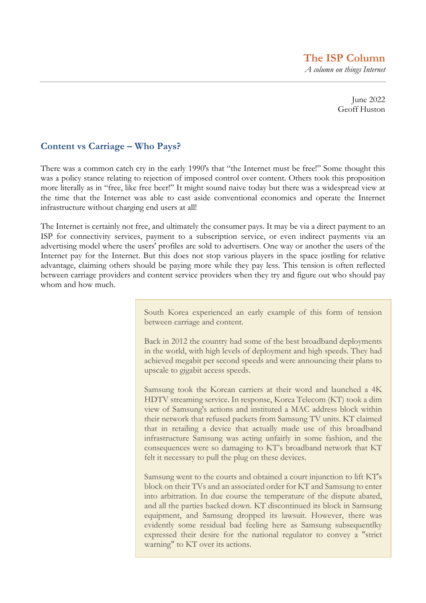**The ISP Column**  *A column on things Internet*

> June 2022 Geoff Huston

#### **Content vs Carriage – Who Pays?**

There was a common catch cry in the early 1990's that "the Internet must be free!" Some thought this was a policy stance relating to rejection of imposed control over content. Others took this proposition more literally as in "free, like free beer!" It might sound naive today but there was a widespread view at the time that the Internet was able to cast aside conventional economics and operate the Internet infrastructure without charging end users at all!

The Internet is certainly not free, and ultimately the consumer pays. It may be via a direct payment to an ISP for connectivity services, payment to a subscription service, or even indirect payments via an advertising model where the users' profiles are sold to advertisers. One way or another the users of the Internet pay for the Internet. But this does not stop various players in the space jostling for relative advantage, claiming others should be paying more while they pay less. This tension is often reflected between carriage providers and content service providers when they try and figure out who should pay whom and how much.

> South Korea experienced an early example of this form of tension between carriage and content.

> Back in 2012 the country had some of the best broadband deployments in the world, with high levels of deployment and high speeds. They had achieved megabit per second speeds and were announcing their plans to upscale to gigabit access speeds.

> Samsung took the Korean carriers at their word and launched a 4K HDTV streaming service. In response, Korea Telecom (KT) took a dim view of Samsung's actions and instituted a MAC address block within their network that refused packets from Samsung TV units. KT claimed that in retailing a device that actually made use of this broadband infrastructure Samsung was acting unfairly in some fashion, and the consequences were so damaging to KT's broadband network that KT felt it necessary to pull the plug on these devices.

> Samsung went to the courts and obtained a court injunction to lift KT's block on their TVs and an associated order for KT and Samsung to enter into arbitration. In due course the temperature of the dispute abated, and all the parties backed down. KT discontinued its block in Samsung equipment, and Samsung dropped its lawsuit. However, there was evidently some residual bad feeling here as Samsung subsequentlky expressed their desire for the national regulator to convey a "strict warning" to KT over its actions.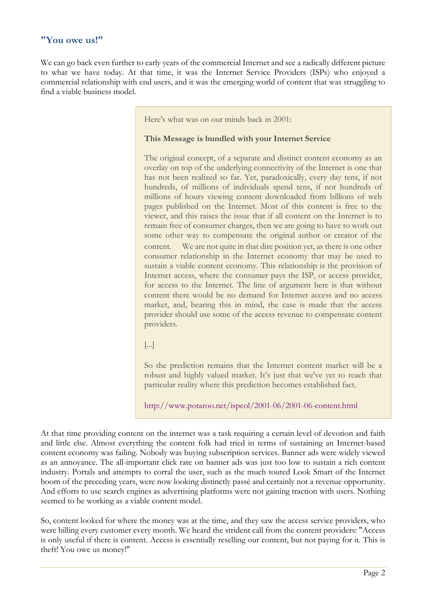#### **"You owe us!"**

We can go back even further to early years of the commercial Internet and see a radically different picture to what we have today. At that time, it was the Internet Service Providers (ISPs) who enjoyed a commercial relationship with end users, and it was the emerging world of content that was struggling to find a viable business model.

Here's what was on our minds back in 2001:

#### **This Message is bundled with your Internet Service**

The original concept, of a separate and distinct content economy as an overlay on top of the underlying connectivity of the Internet is one that has not been realized so far. Yet, paradoxically, every day tens, if not hundreds, of millions of individuals spend tens, if not hundreds of millions of hours viewing content downloaded from billions of web pages published on the Internet. Most of this content is free to the viewer, and this raises the issue that if all content on the Internet is to remain free of consumer charges, then we are going to have to work out some other way to compensate the original author or creator of the content. We are not quite in that dire position yet, as there is one other consumer relationship in the Internet economy that may be used to sustain a viable content economy. This relationship is the provision of Internet access, where the consumer pays the ISP, or access provider, for access to the Internet. The line of argument here is that without content there would be no demand for Internet access and no access market, and, bearing this in mind, the case is made that the access provider should use some of the access revenue to compensate content providers.

[...]

So the prediction remains that the Internet content market will be a robust and highly valued market. It's just that we've yet to reach that particular reality where this prediction becomes established fact.

http://www.potaroo.net/ispcol/2001-06/2001-06-content.html

At that time providing content on the internet was a task requiring a certain level of devotion and faith and little else. Almost everything the content folk had tried in terms of sustaining an Internet-based content economy was failing. Nobody was buying subscription services. Banner ads were widely viewed as an annoyance. The all-important click rate on banner ads was just too low to sustain a rich content industry. Portals and attempts to corral the user, such as the much touted Look Smart of the Internet boom of the preceding years, were now looking distinctly passé and certainly not a revenue opportunity. And efforts to use search engines as advertising platforms were not gaining traction with users. Nothing seemed to be working as a viable content model.

So, content looked for where the money was at the time, and they saw the access service providers, who were billing every customer every month. We heard the strident call from the content providers: "Access is only useful if there is content. Access is essentially reselling our content, but not paying for it. This is theft! You owe us money!"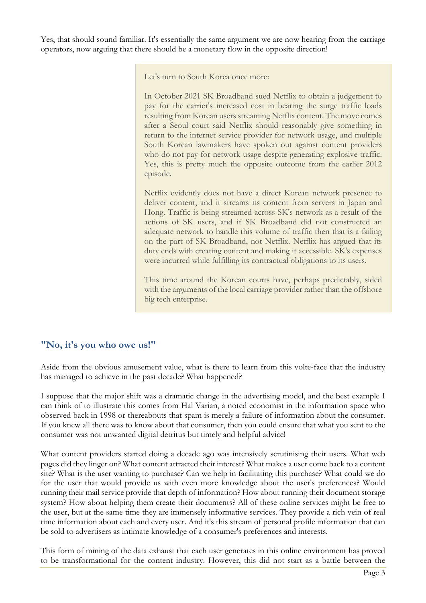Yes, that should sound familiar. It's essentially the same argument we are now hearing from the carriage operators, now arguing that there should be a monetary flow in the opposite direction!

Let's turn to South Korea once more:

In October 2021 SK Broadband sued Netflix to obtain a judgement to pay for the carrier's increased cost in bearing the surge traffic loads resulting from Korean users streaming Netflix content. The move comes after a Seoul court said Netflix should reasonably give something in return to the internet service provider for network usage, and multiple South Korean lawmakers have spoken out against content providers who do not pay for network usage despite generating explosive traffic. Yes, this is pretty much the opposite outcome from the earlier 2012 episode.

Netflix evidently does not have a direct Korean network presence to deliver content, and it streams its content from servers in Japan and Hong. Traffic is being streamed across SK's network as a result of the actions of SK users, and if SK Broadband did not constructed an adequate network to handle this volume of traffic then that is a failing on the part of SK Broadband, not Netflix. Netflix has argued that its duty ends with creating content and making it accessible. SK's expenses were incurred while fulfilling its contractual obligations to its users.

This time around the Korean courts have, perhaps predictably, sided with the arguments of the local carriage provider rather than the offshore big tech enterprise.

## **"No, it's you who owe us!"**

Aside from the obvious amusement value, what is there to learn from this volte-face that the industry has managed to achieve in the past decade? What happened?

I suppose that the major shift was a dramatic change in the advertising model, and the best example I can think of to illustrate this comes from Hal Varian, a noted economist in the information space who observed back in 1998 or thereabouts that spam is merely a failure of information about the consumer. If you knew all there was to know about that consumer, then you could ensure that what you sent to the consumer was not unwanted digital detritus but timely and helpful advice!

What content providers started doing a decade ago was intensively scrutinising their users. What web pages did they linger on? What content attracted their interest? What makes a user come back to a content site? What is the user wanting to purchase? Can we help in facilitating this purchase? What could we do for the user that would provide us with even more knowledge about the user's preferences? Would running their mail service provide that depth of information? How about running their document storage system? How about helping them create their documents? All of these online services might be free to the user, but at the same time they are immensely informative services. They provide a rich vein of real time information about each and every user. And it's this stream of personal profile information that can be sold to advertisers as intimate knowledge of a consumer's preferences and interests.

This form of mining of the data exhaust that each user generates in this online environment has proved to be transformational for the content industry. However, this did not start as a battle between the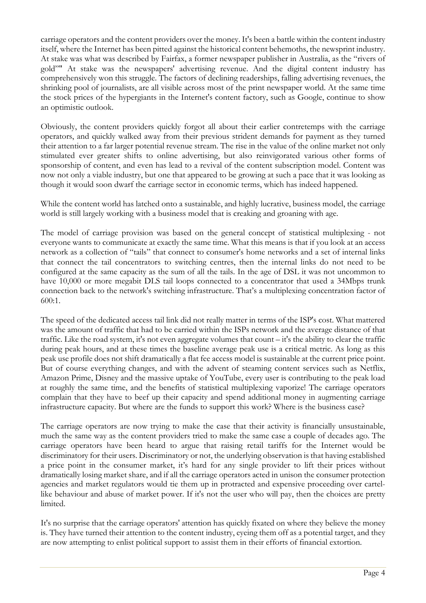carriage operators and the content providers over the money. It's been a battle within the content industry itself, where the Internet has been pitted against the historical content behemoths, the newsprint industry. At stake was what was described by Fairfax, a former newspaper publisher in Australia, as the "rivers of gold"" At stake was the newspapers' advertising revenue. And the digital content industry has comprehensively won this struggle. The factors of declining readerships, falling advertising revenues, the shrinking pool of journalists, are all visible across most of the print newspaper world. At the same time the stock prices of the hypergiants in the Internet's content factory, such as Google, continue to show an optimistic outlook.

Obviously, the content providers quickly forgot all about their earlier contretemps with the carriage operators, and quickly walked away from their previous strident demands for payment as they turned their attention to a far larger potential revenue stream. The rise in the value of the online market not only stimulated ever greater shifts to online advertising, but also reinvigorated various other forms of sponsorship of content, and even has lead to a revival of the content subscription model. Content was now not only a viable industry, but one that appeared to be growing at such a pace that it was looking as though it would soon dwarf the carriage sector in economic terms, which has indeed happened.

While the content world has latched onto a sustainable, and highly lucrative, business model, the carriage world is still largely working with a business model that is creaking and groaning with age.

The model of carriage provision was based on the general concept of statistical multiplexing - not everyone wants to communicate at exactly the same time. What this means is that if you look at an access network as a collection of "tails" that connect to consumer's home networks and a set of internal links that connect the tail concentrators to switching centres, then the internal links do not need to be configured at the same capacity as the sum of all the tails. In the age of DSL it was not uncommon to have 10,000 or more megabit DLS tail loops connected to a concentrator that used a 34Mbps trunk connection back to the network's switching infrastructure. That's a multiplexing concentration factor of 600:1.

The speed of the dedicated access tail link did not really matter in terms of the ISP's cost. What mattered was the amount of traffic that had to be carried within the ISPs network and the average distance of that traffic. Like the road system, it's not even aggregate volumes that count – it's the ability to clear the traffic during peak hours, and at these times the baseline average peak use is a critical metric. As long as this peak use profile does not shift dramatically a flat fee access model is sustainable at the current price point. But of course everything changes, and with the advent of steaming content services such as Netflix, Amazon Prime, Disney and the massive uptake of YouTube, every user is contributing to the peak load at roughly the same time, and the benefits of statistical multiplexing vaporize! The carriage operators complain that they have to beef up their capacity and spend additional money in augmenting carriage infrastructure capacity. But where are the funds to support this work? Where is the business case?

The carriage operators are now trying to make the case that their activity is financially unsustainable, much the same way as the content providers tried to make the same case a couple of decades ago. The carriage operators have been heard to argue that raising retail tariffs for the Internet would be discriminatory for their users. Discriminatory or not, the underlying observation is that having established a price point in the consumer market, it's hard for any single provider to lift their prices without dramatically losing market share, and if all the carriage operators acted in unison the consumer protection agencies and market regulators would tie them up in protracted and expensive proceeding over cartellike behaviour and abuse of market power. If it's not the user who will pay, then the choices are pretty limited.

It's no surprise that the carriage operators' attention has quickly fixated on where they believe the money is. They have turned their attention to the content industry, eyeing them off as a potential target, and they are now attempting to enlist political support to assist them in their efforts of financial extortion.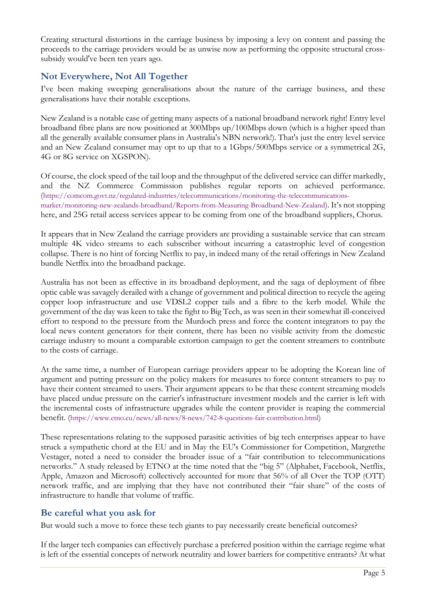Creating structural distortions in the carriage business by imposing a levy on content and passing the proceeds to the carriage providers would be as unwise now as performing the opposite structural crosssubsidy would've been ten years ago.

## **Not Everywhere, Not All Together**

I've been making sweeping generalisations about the nature of the carriage business, and these generalisations have their notable exceptions.

New Zealand is a notable case of getting many aspects of a national broadband network right! Entry level broadband fibre plans are now positioned at 300Mbps up/100Mbps down (which is a higher speed than all the generally available consumer plans in Australia's NBN network!). That's just the entry level service and an New Zealand consumer may opt to up that to a 1Gbps/500Mbps service or a symmetrical 2G, 4G or 8G service on XGSPON).

Of course, the clock speed of the tail loop and the throughput of the delivered service can differ markedly, and the NZ Commerce Commission publishes regular reports on achieved performance. (https://comcom.govt.nz/regulated-industries/telecommunications/monitoring-the-telecommunicationsmarket/monitoring-new-zealands-broadband/Reports-from-Measuring-Broadband-New-Zealand). It's not stopping here, and 25G retail access services appear to be coming from one of the broadband suppliers, Chorus.

It appears that in New Zealand the carriage providers are providing a sustainable service that can stream multiple 4K video streams to each subscriber without incurring a catastrophic level of congestion collapse. There is no hint of forcing Netflix to pay, in indeed many of the retail offerings in New Zealand bundle Netflix into the broadband package.

Australia has not been as effective in its broadband deployment, and the saga of deployment of fibre optic cable was savagely derailed with a change of government and political direction to recycle the ageing copper loop infrastructure and use VDSL2 copper tails and a fibre to the kerb model. While the government of the day was keen to take the fight to Big Tech, as was seen in their somewhat ill-conceived effort to respond to the pressure from the Murdoch press and force the content integrators to pay the local news content generators for their content, there has been no visible activity from the domestic carriage industry to mount a comparable extortion campaign to get the content streamers to contribute to the costs of carriage.

At the same time, a number of European carriage providers appear to be adopting the Korean line of argument and putting pressure on the policy makers for measures to force content streamers to pay to have their content streamed to users. Their argument appears to be that these content streaming models have placed undue pressure on the carrier's infrastructure investment models and the carrier is left with the incremental costs of infrastructure upgrades while the content provider is reaping the commercial benefit. (https://www.etno.eu/news/all-news/8-news/742-8-questions-fair-contribution.html)

These representations relating to the supposed parasitic activities of big tech enterprises appear to have struck a sympathetic chord at the EU and in May the EU's Commissioner for Competition, Margrethe Vestager, noted a need to consider the broader issue of a "fair contribution to telecommunications networks." A study released by ETNO at the time noted that the "big 5" (Alphabet, Facebook, Netflix, Apple, Amazon and Microsoft) collectively accounted for more that 56% of all Over the TOP (OTT) network traffic, and are implying that they have not contributed their "fair share" of the costs of infrastructure to handle that volume of traffic.

## **Be careful what you ask for**

But would such a move to force these tech giants to pay necessarily create beneficial outcomes?

If the larger tech companies can effectively purchase a preferred position within the carriage regime what is left of the essential concepts of network neutrality and lower barriers for competitive entrants? At what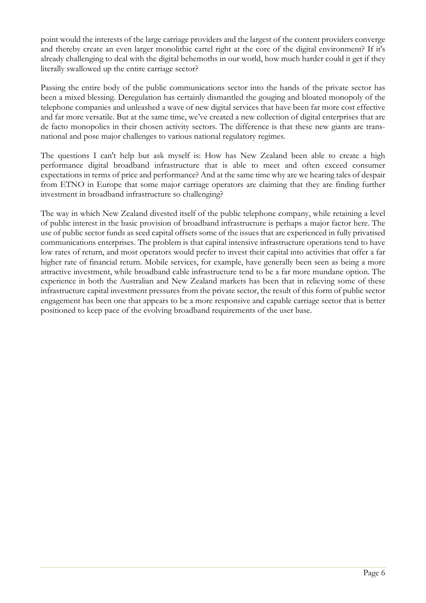point would the interests of the large carriage providers and the largest of the content providers converge and thereby create an even larger monolithic cartel right at the core of the digital environment? If it's already challenging to deal with the digital behemoths in our world, how much harder could it get if they literally swallowed up the entire carriage sector?

Passing the entire body of the public communications sector into the hands of the private sector has been a mixed blessing. Deregulation has certainly dismantled the gouging and bloated monopoly of the telephone companies and unleashed a wave of new digital services that have been far more cost effective and far more versatile. But at the same time, we've created a new collection of digital enterprises that are de facto monopolies in their chosen activity sectors. The difference is that these new giants are transnational and pose major challenges to various national regulatory regimes.

The questions I can't help but ask myself is: How has New Zealand been able to create a high performance digital broadband infrastructure that is able to meet and often exceed consumer expectations in terms of price and performance? And at the same time why are we hearing tales of despair from ETNO in Europe that some major carriage operators are claiming that they are finding further investment in broadband infrastructure so challenging?

The way in which New Zealand divested itself of the public telephone company, while retaining a level of public interest in the basic provision of broadband infrastructure is perhaps a major factor here. The use of public sector funds as seed capital offsets some of the issues that are experienced in fully privatised communications enterprises. The problem is that capital intensive infrastructure operations tend to have low rates of return, and most operators would prefer to invest their capital into activities that offer a far higher rate of financial return. Mobile services, for example, have generally been seen as being a more attractive investment, while broadband cable infrastructure tend to be a far more mundane option. The experience in both the Australian and New Zealand markets has been that in relieving some of these infrastructure capital investment pressures from the private sector, the result of this form of public sector engagement has been one that appears to be a more responsive and capable carriage sector that is better positioned to keep pace of the evolving broadband requirements of the user base.